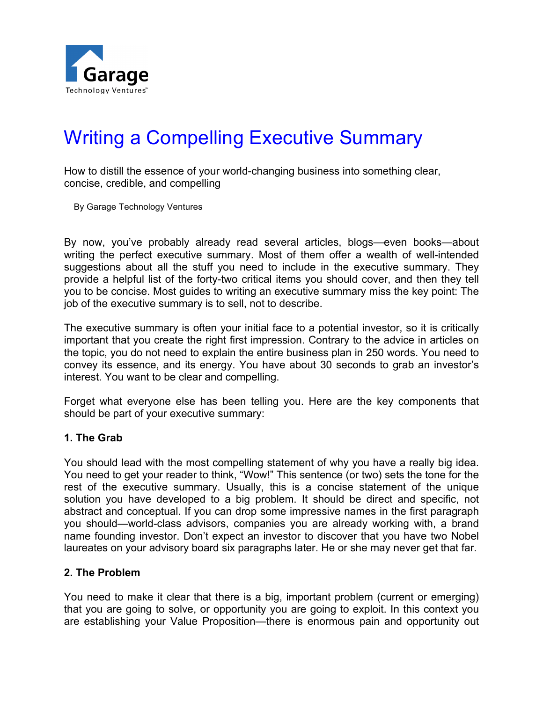

# Writing a Compelling Executive Summary

How to distill the essence of your world-changing business into something clear, concise, credible, and compelling

By Garage Technology Ventures

By now, you've probably already read several articles, blogs—even books—about writing the perfect executive summary. Most of them offer a wealth of well-intended suggestions about all the stuff you need to include in the executive summary. They provide a helpful list of the forty-two critical items you should cover, and then they tell you to be concise. Most guides to writing an executive summary miss the key point: The job of the executive summary is to sell, not to describe.

The executive summary is often your initial face to a potential investor, so it is critically important that you create the right first impression. Contrary to the advice in articles on the topic, you do not need to explain the entire business plan in 250 words. You need to convey its essence, and its energy. You have about 30 seconds to grab an investor's interest. You want to be clear and compelling.

Forget what everyone else has been telling you. Here are the key components that should be part of your executive summary:

#### **1. The Grab**

You should lead with the most compelling statement of why you have a really big idea. You need to get your reader to think, "Wow!" This sentence (or two) sets the tone for the rest of the executive summary. Usually, this is a concise statement of the unique solution you have developed to a big problem. It should be direct and specific, not abstract and conceptual. If you can drop some impressive names in the first paragraph you should—world-class advisors, companies you are already working with, a brand name founding investor. Don't expect an investor to discover that you have two Nobel laureates on your advisory board six paragraphs later. He or she may never get that far.

#### **2. The Problem**

You need to make it clear that there is a big, important problem (current or emerging) that you are going to solve, or opportunity you are going to exploit. In this context you are establishing your Value Proposition—there is enormous pain and opportunity out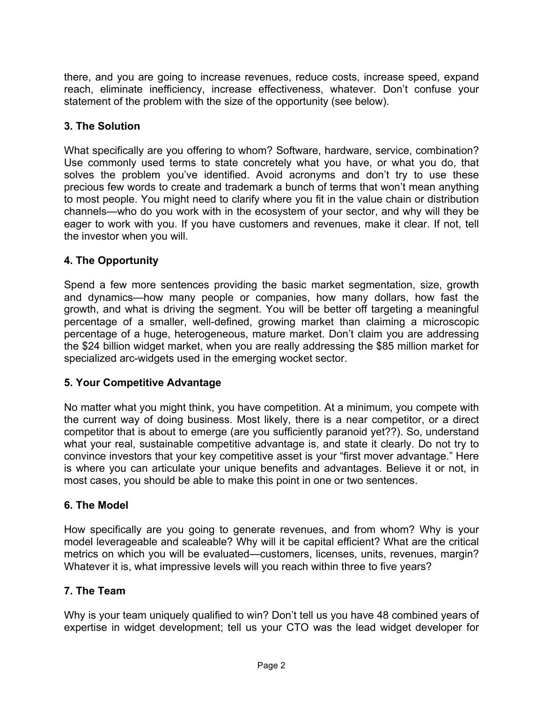there, and you are going to increase revenues, reduce costs, increase speed, expand reach, eliminate inefficiency, increase effectiveness, whatever. Don't confuse your statement of the problem with the size of the opportunity (see below).

## **3. The Solution**

What specifically are you offering to whom? Software, hardware, service, combination? Use commonly used terms to state concretely what you have, or what you do, that solves the problem you've identified. Avoid acronyms and don't try to use these precious few words to create and trademark a bunch of terms that won't mean anything to most people. You might need to clarify where you fit in the value chain or distribution channels—who do you work with in the ecosystem of your sector, and why will they be eager to work with you. If you have customers and revenues, make it clear. If not, tell the investor when you will.

## **4. The Opportunity**

Spend a few more sentences providing the basic market segmentation, size, growth and dynamics—how many people or companies, how many dollars, how fast the growth, and what is driving the segment. You will be better off targeting a meaningful percentage of a smaller, well-defined, growing market than claiming a microscopic percentage of a huge, heterogeneous, mature market. Don't claim you are addressing the \$24 billion widget market, when you are really addressing the \$85 million market for specialized arc-widgets used in the emerging wocket sector.

## **5. Your Competitive Advantage**

No matter what you might think, you have competition. At a minimum, you compete with the current way of doing business. Most likely, there is a near competitor, or a direct competitor that is about to emerge (are you sufficiently paranoid yet??). So, understand what your real, sustainable competitive advantage is, and state it clearly. Do not try to convince investors that your key competitive asset is your "first mover advantage." Here is where you can articulate your unique benefits and advantages. Believe it or not, in most cases, you should be able to make this point in one or two sentences.

## **6. The Model**

How specifically are you going to generate revenues, and from whom? Why is your model leverageable and scaleable? Why will it be capital efficient? What are the critical metrics on which you will be evaluated—customers, licenses, units, revenues, margin? Whatever it is, what impressive levels will you reach within three to five years?

## **7. The Team**

Why is your team uniquely qualified to win? Don't tell us you have 48 combined years of expertise in widget development; tell us your CTO was the lead widget developer for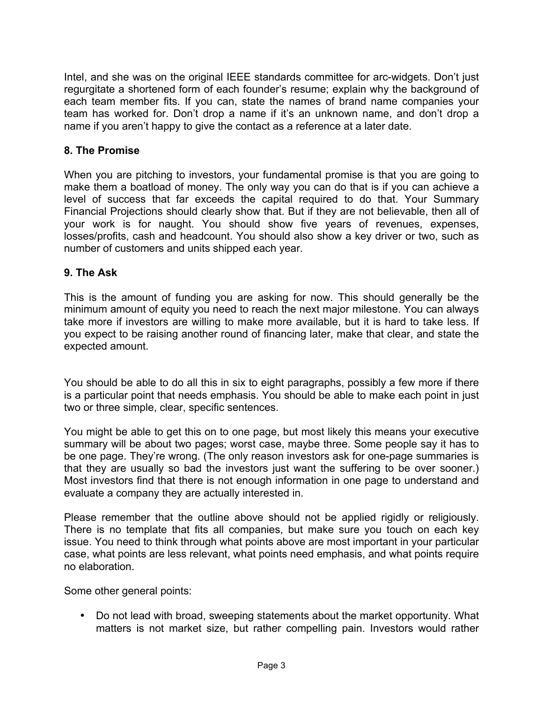Intel, and she was on the original IEEE standards committee for arc-widgets. Don't just regurgitate a shortened form of each founder's resume; explain why the background of each team member fits. If you can, state the names of brand name companies your team has worked for. Don't drop a name if it's an unknown name, and don't drop a name if you aren't happy to give the contact as a reference at a later date.

#### **8. The Promise**

When you are pitching to investors, your fundamental promise is that you are going to make them a boatload of money. The only way you can do that is if you can achieve a level of success that far exceeds the capital required to do that. Your Summary Financial Projections should clearly show that. But if they are not believable, then all of your work is for naught. You should show five years of revenues, expenses, losses/profits, cash and headcount. You should also show a key driver or two, such as number of customers and units shipped each year.

#### **9. The Ask**

This is the amount of funding you are asking for now. This should generally be the minimum amount of equity you need to reach the next major milestone. You can always take more if investors are willing to make more available, but it is hard to take less. If you expect to be raising another round of financing later, make that clear, and state the expected amount.

You should be able to do all this in six to eight paragraphs, possibly a few more if there is a particular point that needs emphasis. You should be able to make each point in just two or three simple, clear, specific sentences.

You might be able to get this on to one page, but most likely this means your executive summary will be about two pages; worst case, maybe three. Some people say it has to be one page. They're wrong. (The only reason investors ask for one-page summaries is that they are usually so bad the investors just want the suffering to be over sooner.) Most investors find that there is not enough information in one page to understand and evaluate a company they are actually interested in.

Please remember that the outline above should not be applied rigidly or religiously. There is no template that fits all companies, but make sure you touch on each key issue. You need to think through what points above are most important in your particular case, what points are less relevant, what points need emphasis, and what points require no elaboration.

Some other general points:

• Do not lead with broad, sweeping statements about the market opportunity. What matters is not market size, but rather compelling pain. Investors would rather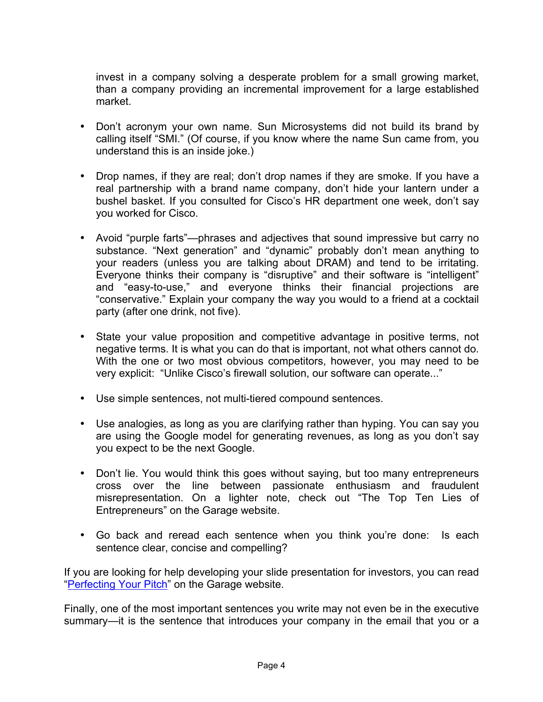invest in a company solving a desperate problem for a small growing market, than a company providing an incremental improvement for a large established market.

- Don't acronym your own name. Sun Microsystems did not build its brand by calling itself "SMI." (Of course, if you know where the name Sun came from, you understand this is an inside joke.)
- Drop names, if they are real; don't drop names if they are smoke. If you have a real partnership with a brand name company, don't hide your lantern under a bushel basket. If you consulted for Cisco's HR department one week, don't say you worked for Cisco.
- Avoid "purple farts"—phrases and adjectives that sound impressive but carry no substance. "Next generation" and "dynamic" probably don't mean anything to your readers (unless you are talking about DRAM) and tend to be irritating. Everyone thinks their company is "disruptive" and their software is "intelligent" and "easy-to-use," and everyone thinks their financial projections are "conservative." Explain your company the way you would to a friend at a cocktail party (after one drink, not five).
- State your value proposition and competitive advantage in positive terms, not negative terms. It is what you can do that is important, not what others cannot do. With the one or two most obvious competitors, however, you may need to be very explicit: "Unlike Cisco's firewall solution, our software can operate..."
- Use simple sentences, not multi-tiered compound sentences.
- Use analogies, as long as you are clarifying rather than hyping. You can say you are using the Google model for generating revenues, as long as you don't say you expect to be the next Google.
- Don't lie. You would think this goes without saying, but too many entrepreneurs cross over the line between passionate enthusiasm and fraudulent misrepresentation. On a lighter note, check out "The Top Ten Lies of Entrepreneurs" on the Garage website.
- Go back and reread each sentence when you think you're done: Is each sentence clear, concise and compelling?

If you are looking for help developing your slide presentation for investors, you can read "Perfecting Your Pitch" on the Garage website.

Finally, one of the most important sentences you write may not even be in the executive summary—it is the sentence that introduces your company in the email that you or a